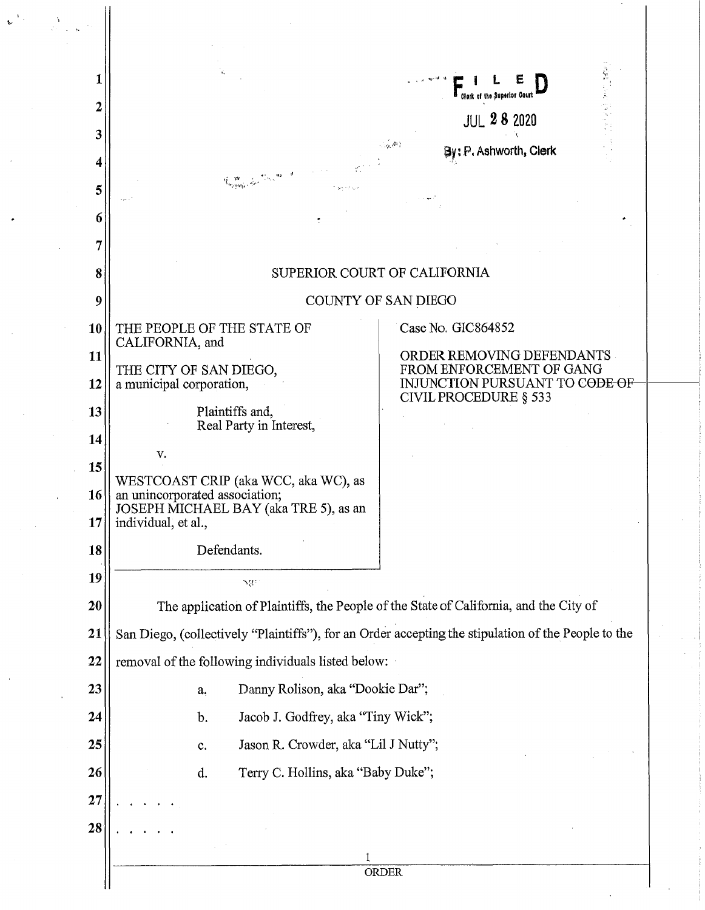|  |           |                                                                                                                                                                                                                                               | Clerk of the Superior Court                             |  |
|--|-----------|-----------------------------------------------------------------------------------------------------------------------------------------------------------------------------------------------------------------------------------------------|---------------------------------------------------------|--|
|  | 3         |                                                                                                                                                                                                                                               | <b>JUL 28 2020</b>                                      |  |
|  |           | By: P. Ashworth, Clerk                                                                                                                                                                                                                        |                                                         |  |
|  | 5         |                                                                                                                                                                                                                                               |                                                         |  |
|  | 6         |                                                                                                                                                                                                                                               |                                                         |  |
|  | 7         |                                                                                                                                                                                                                                               |                                                         |  |
|  |           | SUPERIOR COURT OF CALIFORNIA                                                                                                                                                                                                                  |                                                         |  |
|  | 8         |                                                                                                                                                                                                                                               |                                                         |  |
|  | 9         | COUNTY OF SAN DIEGO                                                                                                                                                                                                                           |                                                         |  |
|  | <b>10</b> | THE PEOPLE OF THE STATE OF<br>CALIFORNIA, and                                                                                                                                                                                                 | Case No. GIC864852                                      |  |
|  | 11        | THE CITY OF SAN DIEGO,                                                                                                                                                                                                                        | ORDER REMOVING DEFENDANTS<br>FROM ENFORCEMENT OF GANG   |  |
|  | 12        | a municipal corporation,                                                                                                                                                                                                                      | INJUNCTION PURSUANT TO CODE OF<br>CIVIL PROCEDURE § 533 |  |
|  | 13        | Plaintiffs and,<br>Real Party in Interest,                                                                                                                                                                                                    |                                                         |  |
|  | 14        |                                                                                                                                                                                                                                               |                                                         |  |
|  | 15        | V.                                                                                                                                                                                                                                            |                                                         |  |
|  | 16<br>17  | WESTCOAST CRIP (aka WCC, aka WC), as<br>an unincorporated association;<br>JOSEPH MICHAEL BAY (aka TRE 5), as an<br>individual, et al.,                                                                                                        |                                                         |  |
|  |           | Defendants.                                                                                                                                                                                                                                   |                                                         |  |
|  | 18        |                                                                                                                                                                                                                                               |                                                         |  |
|  | 19        | $\mathcal{M}^{\mathcal{C}}$                                                                                                                                                                                                                   |                                                         |  |
|  | 20        | The application of Plaintiffs, the People of the State of California, and the City of                                                                                                                                                         |                                                         |  |
|  | 21        | San Diego, (collectively "Plaintiffs"), for an Order accepting the stipulation of the People to the                                                                                                                                           |                                                         |  |
|  | 22        | removal of the following individuals listed below:<br>Danny Rolison, aka "Dookie Dar";<br>a.<br>Jacob J. Godfrey, aka "Tiny Wick";<br>$\mathbf b$ .<br>Jason R. Crowder, aka "Lil J Nutty";<br>c.<br>d.<br>Terry C. Hollins, aka "Baby Duke"; |                                                         |  |
|  | 23        |                                                                                                                                                                                                                                               |                                                         |  |
|  | 24        |                                                                                                                                                                                                                                               |                                                         |  |
|  | 25        |                                                                                                                                                                                                                                               |                                                         |  |
|  | 26        |                                                                                                                                                                                                                                               |                                                         |  |
|  | 27        |                                                                                                                                                                                                                                               |                                                         |  |
|  | 28        |                                                                                                                                                                                                                                               |                                                         |  |
|  |           |                                                                                                                                                                                                                                               |                                                         |  |
|  |           |                                                                                                                                                                                                                                               | ORDER                                                   |  |

 $\psi^{(V)}$